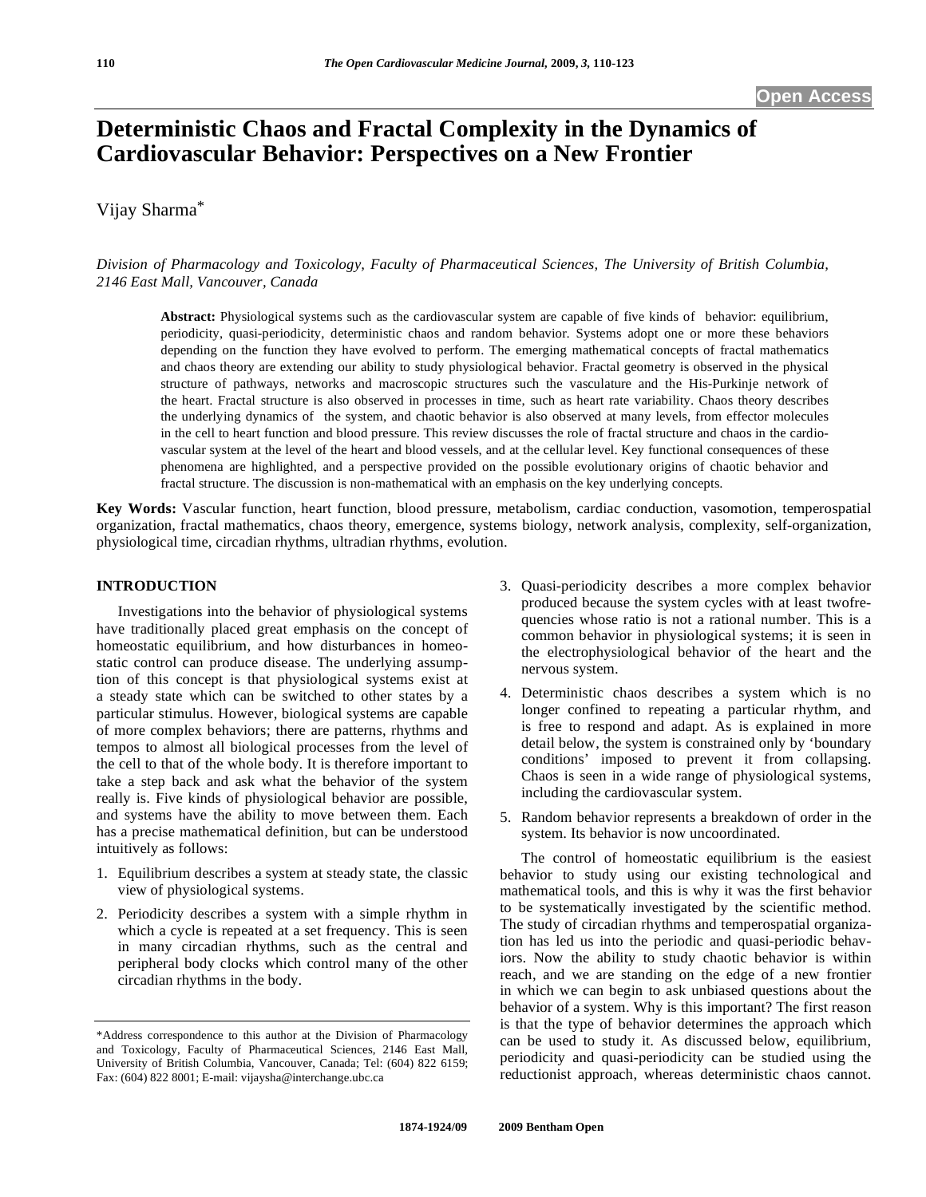# **Deterministic Chaos and Fractal Complexity in the Dynamics of Cardiovascular Behavior: Perspectives on a New Frontier**

# Vijay Sharma\*

*Division of Pharmacology and Toxicology, Faculty of Pharmaceutical Sciences, The University of British Columbia, 2146 East Mall, Vancouver, Canada* 

**Abstract:** Physiological systems such as the cardiovascular system are capable of five kinds of behavior: equilibrium, periodicity, quasi-periodicity, deterministic chaos and random behavior. Systems adopt one or more these behaviors depending on the function they have evolved to perform. The emerging mathematical concepts of fractal mathematics and chaos theory are extending our ability to study physiological behavior. Fractal geometry is observed in the physical structure of pathways, networks and macroscopic structures such the vasculature and the His-Purkinje network of the heart. Fractal structure is also observed in processes in time, such as heart rate variability. Chaos theory describes the underlying dynamics of the system, and chaotic behavior is also observed at many levels, from effector molecules in the cell to heart function and blood pressure. This review discusses the role of fractal structure and chaos in the cardiovascular system at the level of the heart and blood vessels, and at the cellular level. Key functional consequences of these phenomena are highlighted, and a perspective provided on the possible evolutionary origins of chaotic behavior and fractal structure. The discussion is non-mathematical with an emphasis on the key underlying concepts.

**Key Words:** Vascular function, heart function, blood pressure, metabolism, cardiac conduction, vasomotion, temperospatial organization, fractal mathematics, chaos theory, emergence, systems biology, network analysis, complexity, self-organization, physiological time, circadian rhythms, ultradian rhythms, evolution.

#### **INTRODUCTION**

 Investigations into the behavior of physiological systems have traditionally placed great emphasis on the concept of homeostatic equilibrium, and how disturbances in homeostatic control can produce disease. The underlying assumption of this concept is that physiological systems exist at a steady state which can be switched to other states by a particular stimulus. However, biological systems are capable of more complex behaviors; there are patterns, rhythms and tempos to almost all biological processes from the level of the cell to that of the whole body. It is therefore important to take a step back and ask what the behavior of the system really is. Five kinds of physiological behavior are possible, and systems have the ability to move between them. Each has a precise mathematical definition, but can be understood intuitively as follows:

- 1. Equilibrium describes a system at steady state, the classic view of physiological systems.
- 2. Periodicity describes a system with a simple rhythm in which a cycle is repeated at a set frequency. This is seen in many circadian rhythms, such as the central and peripheral body clocks which control many of the other circadian rhythms in the body.
- 3. Quasi-periodicity describes a more complex behavior produced because the system cycles with at least twofrequencies whose ratio is not a rational number. This is a common behavior in physiological systems; it is seen in the electrophysiological behavior of the heart and the nervous system.
- 4. Deterministic chaos describes a system which is no longer confined to repeating a particular rhythm, and is free to respond and adapt. As is explained in more detail below, the system is constrained only by 'boundary conditions' imposed to prevent it from collapsing. Chaos is seen in a wide range of physiological systems, including the cardiovascular system.
- 5. Random behavior represents a breakdown of order in the system. Its behavior is now uncoordinated.

 The control of homeostatic equilibrium is the easiest behavior to study using our existing technological and mathematical tools, and this is why it was the first behavior to be systematically investigated by the scientific method. The study of circadian rhythms and temperospatial organization has led us into the periodic and quasi-periodic behaviors. Now the ability to study chaotic behavior is within reach, and we are standing on the edge of a new frontier in which we can begin to ask unbiased questions about the behavior of a system. Why is this important? The first reason is that the type of behavior determines the approach which can be used to study it. As discussed below, equilibrium, periodicity and quasi-periodicity can be studied using the reductionist approach, whereas deterministic chaos cannot.

<sup>\*</sup>Address correspondence to this author at the Division of Pharmacology and Toxicology, Faculty of Pharmaceutical Sciences, 2146 East Mall, University of British Columbia, Vancouver, Canada; Tel: (604) 822 6159; Fax: (604) 822 8001; E-mail: vijaysha@interchange.ubc.ca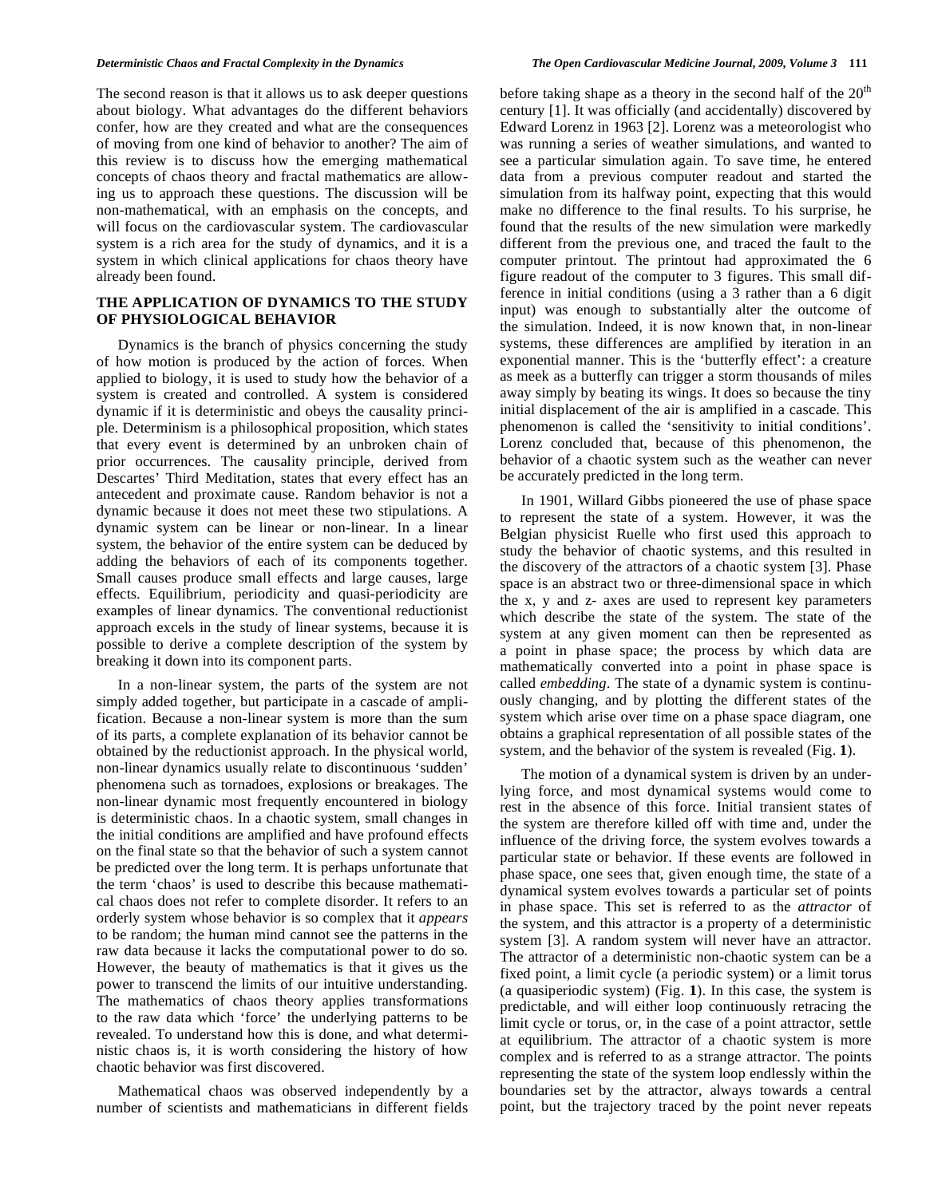The second reason is that it allows us to ask deeper questions about biology. What advantages do the different behaviors confer, how are they created and what are the consequences of moving from one kind of behavior to another? The aim of this review is to discuss how the emerging mathematical concepts of chaos theory and fractal mathematics are allowing us to approach these questions. The discussion will be non-mathematical, with an emphasis on the concepts, and will focus on the cardiovascular system. The cardiovascular system is a rich area for the study of dynamics, and it is a system in which clinical applications for chaos theory have already been found.

#### **THE APPLICATION OF DYNAMICS TO THE STUDY OF PHYSIOLOGICAL BEHAVIOR**

 Dynamics is the branch of physics concerning the study of how motion is produced by the action of forces. When applied to biology, it is used to study how the behavior of a system is created and controlled. A system is considered dynamic if it is deterministic and obeys the causality principle. Determinism is a philosophical proposition, which states that every event is determined by an unbroken chain of prior occurrences. The causality principle, derived from Descartes' Third Meditation, states that every effect has an antecedent and proximate cause. Random behavior is not a dynamic because it does not meet these two stipulations. A dynamic system can be linear or non-linear. In a linear system, the behavior of the entire system can be deduced by adding the behaviors of each of its components together. Small causes produce small effects and large causes, large effects. Equilibrium, periodicity and quasi-periodicity are examples of linear dynamics. The conventional reductionist approach excels in the study of linear systems, because it is possible to derive a complete description of the system by breaking it down into its component parts.

 In a non-linear system, the parts of the system are not simply added together, but participate in a cascade of amplification. Because a non-linear system is more than the sum of its parts, a complete explanation of its behavior cannot be obtained by the reductionist approach. In the physical world, non-linear dynamics usually relate to discontinuous 'sudden' phenomena such as tornadoes, explosions or breakages. The non-linear dynamic most frequently encountered in biology is deterministic chaos. In a chaotic system, small changes in the initial conditions are amplified and have profound effects on the final state so that the behavior of such a system cannot be predicted over the long term. It is perhaps unfortunate that the term 'chaos' is used to describe this because mathematical chaos does not refer to complete disorder. It refers to an orderly system whose behavior is so complex that it *appears* to be random; the human mind cannot see the patterns in the raw data because it lacks the computational power to do so. However, the beauty of mathematics is that it gives us the power to transcend the limits of our intuitive understanding. The mathematics of chaos theory applies transformations to the raw data which 'force' the underlying patterns to be revealed. To understand how this is done, and what deterministic chaos is, it is worth considering the history of how chaotic behavior was first discovered.

 Mathematical chaos was observed independently by a number of scientists and mathematicians in different fields before taking shape as a theory in the second half of the  $20<sup>th</sup>$ century [1]. It was officially (and accidentally) discovered by Edward Lorenz in 1963 [2]. Lorenz was a meteorologist who was running a series of weather simulations, and wanted to see a particular simulation again. To save time, he entered data from a previous computer readout and started the simulation from its halfway point, expecting that this would make no difference to the final results. To his surprise, he found that the results of the new simulation were markedly different from the previous one, and traced the fault to the computer printout. The printout had approximated the 6 figure readout of the computer to 3 figures. This small difference in initial conditions (using a 3 rather than a 6 digit input) was enough to substantially alter the outcome of the simulation. Indeed, it is now known that, in non-linear systems, these differences are amplified by iteration in an exponential manner. This is the 'butterfly effect': a creature as meek as a butterfly can trigger a storm thousands of miles away simply by beating its wings. It does so because the tiny initial displacement of the air is amplified in a cascade. This phenomenon is called the 'sensitivity to initial conditions'. Lorenz concluded that, because of this phenomenon, the behavior of a chaotic system such as the weather can never be accurately predicted in the long term.

 In 1901, Willard Gibbs pioneered the use of phase space to represent the state of a system. However, it was the Belgian physicist Ruelle who first used this approach to study the behavior of chaotic systems, and this resulted in the discovery of the attractors of a chaotic system [3]. Phase space is an abstract two or three-dimensional space in which the x, y and z- axes are used to represent key parameters which describe the state of the system. The state of the system at any given moment can then be represented as a point in phase space; the process by which data are mathematically converted into a point in phase space is called *embedding*. The state of a dynamic system is continuously changing, and by plotting the different states of the system which arise over time on a phase space diagram, one obtains a graphical representation of all possible states of the system, and the behavior of the system is revealed (Fig. **1**).

 The motion of a dynamical system is driven by an underlying force, and most dynamical systems would come to rest in the absence of this force. Initial transient states of the system are therefore killed off with time and, under the influence of the driving force, the system evolves towards a particular state or behavior. If these events are followed in phase space, one sees that, given enough time, the state of a dynamical system evolves towards a particular set of points in phase space. This set is referred to as the *attractor* of the system, and this attractor is a property of a deterministic system [3]. A random system will never have an attractor. The attractor of a deterministic non-chaotic system can be a fixed point, a limit cycle (a periodic system) or a limit torus (a quasiperiodic system) (Fig. **1**). In this case, the system is predictable, and will either loop continuously retracing the limit cycle or torus, or, in the case of a point attractor, settle at equilibrium. The attractor of a chaotic system is more complex and is referred to as a strange attractor. The points representing the state of the system loop endlessly within the boundaries set by the attractor, always towards a central point, but the trajectory traced by the point never repeats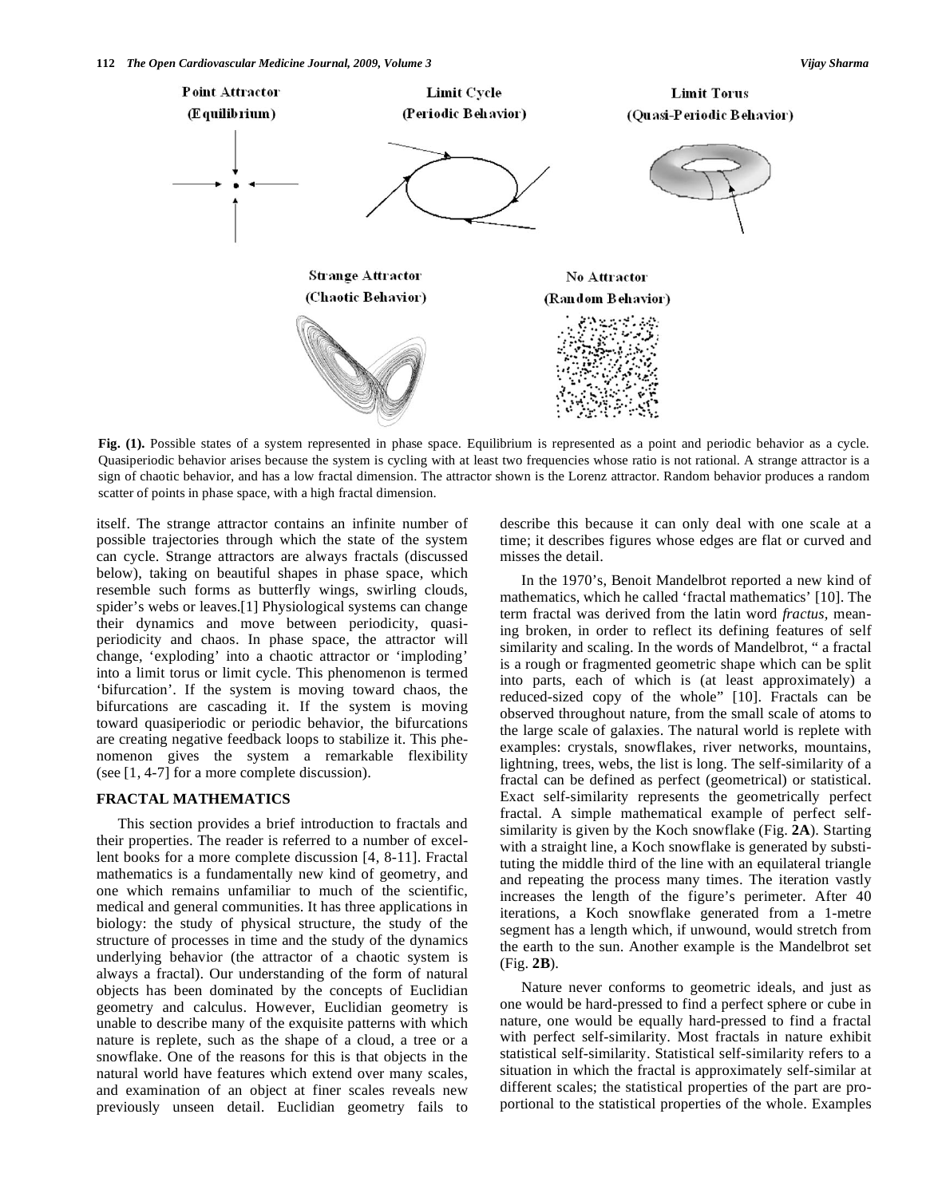

**Fig. (1).** Possible states of a system represented in phase space. Equilibrium is represented as a point and periodic behavior as a cycle. Quasiperiodic behavior arises because the system is cycling with at least two frequencies whose ratio is not rational. A strange attractor is a sign of chaotic behavior, and has a low fractal dimension. The attractor shown is the Lorenz attractor. Random behavior produces a random scatter of points in phase space, with a high fractal dimension.

itself. The strange attractor contains an infinite number of possible trajectories through which the state of the system can cycle. Strange attractors are always fractals (discussed below), taking on beautiful shapes in phase space, which resemble such forms as butterfly wings, swirling clouds, spider's webs or leaves.[1] Physiological systems can change their dynamics and move between periodicity, quasiperiodicity and chaos. In phase space, the attractor will change, 'exploding' into a chaotic attractor or 'imploding' into a limit torus or limit cycle. This phenomenon is termed 'bifurcation'. If the system is moving toward chaos, the bifurcations are cascading it. If the system is moving toward quasiperiodic or periodic behavior, the bifurcations are creating negative feedback loops to stabilize it. This phenomenon gives the system a remarkable flexibility (see [1, 4-7] for a more complete discussion).

### **FRACTAL MATHEMATICS**

 This section provides a brief introduction to fractals and their properties. The reader is referred to a number of excellent books for a more complete discussion [4, 8-11]. Fractal mathematics is a fundamentally new kind of geometry, and one which remains unfamiliar to much of the scientific, medical and general communities. It has three applications in biology: the study of physical structure, the study of the structure of processes in time and the study of the dynamics underlying behavior (the attractor of a chaotic system is always a fractal). Our understanding of the form of natural objects has been dominated by the concepts of Euclidian geometry and calculus. However, Euclidian geometry is unable to describe many of the exquisite patterns with which nature is replete, such as the shape of a cloud, a tree or a snowflake. One of the reasons for this is that objects in the natural world have features which extend over many scales, and examination of an object at finer scales reveals new previously unseen detail. Euclidian geometry fails to describe this because it can only deal with one scale at a time; it describes figures whose edges are flat or curved and misses the detail.

 In the 1970's, Benoit Mandelbrot reported a new kind of mathematics, which he called 'fractal mathematics' [10]. The term fractal was derived from the latin word *fractus,* meaning broken, in order to reflect its defining features of self similarity and scaling. In the words of Mandelbrot, " a fractal is a rough or fragmented geometric shape which can be split into parts, each of which is (at least approximately) a reduced-sized copy of the whole" [10]. Fractals can be observed throughout nature, from the small scale of atoms to the large scale of galaxies. The natural world is replete with examples: crystals, snowflakes, river networks, mountains, lightning, trees, webs, the list is long. The self-similarity of a fractal can be defined as perfect (geometrical) or statistical. Exact self-similarity represents the geometrically perfect fractal. A simple mathematical example of perfect selfsimilarity is given by the Koch snowflake (Fig. **2A**). Starting with a straight line, a Koch snowflake is generated by substituting the middle third of the line with an equilateral triangle and repeating the process many times. The iteration vastly increases the length of the figure's perimeter. After 40 iterations, a Koch snowflake generated from a 1-metre segment has a length which, if unwound, would stretch from the earth to the sun. Another example is the Mandelbrot set (Fig. **2B**).

 Nature never conforms to geometric ideals, and just as one would be hard-pressed to find a perfect sphere or cube in nature, one would be equally hard-pressed to find a fractal with perfect self-similarity. Most fractals in nature exhibit statistical self-similarity. Statistical self-similarity refers to a situation in which the fractal is approximately self-similar at different scales; the statistical properties of the part are proportional to the statistical properties of the whole. Examples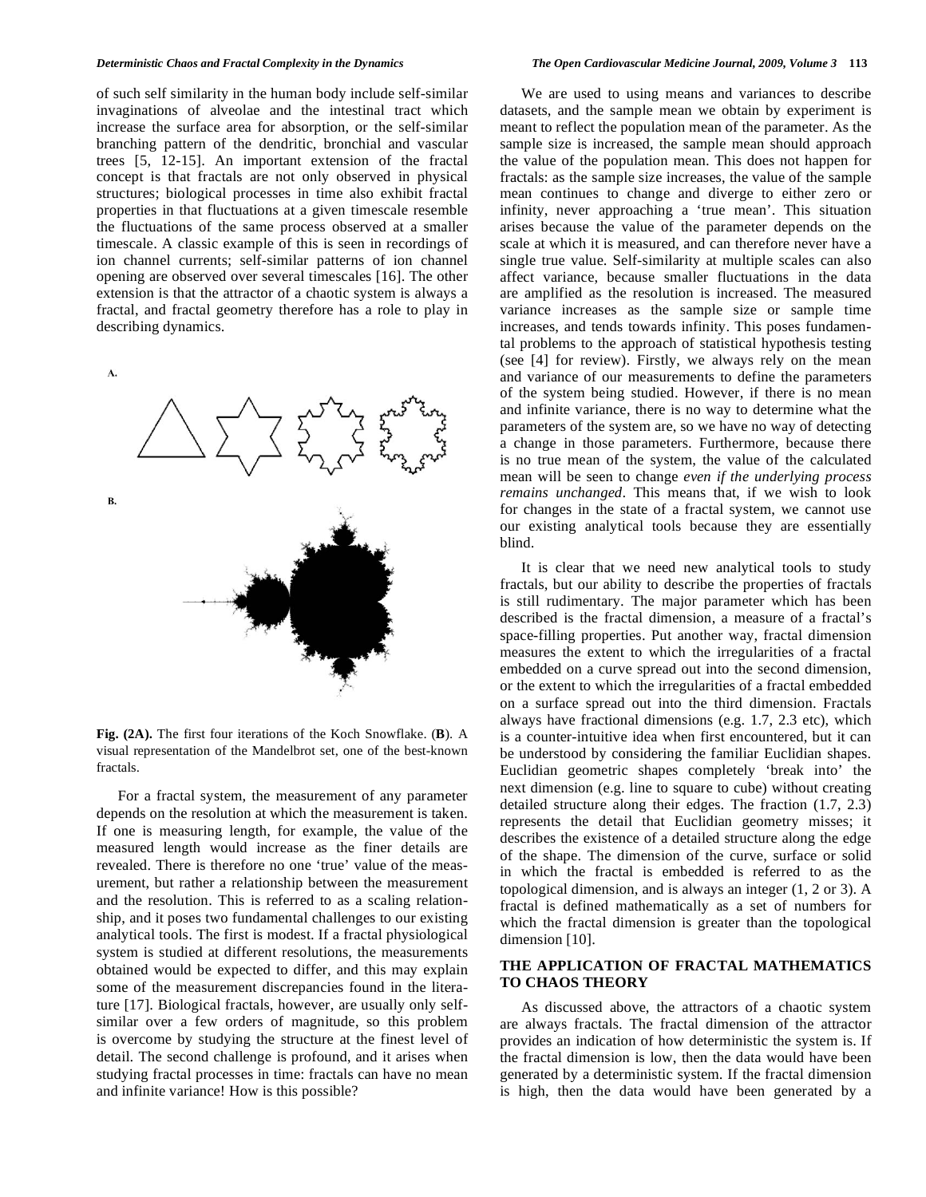of such self similarity in the human body include self-similar invaginations of alveolae and the intestinal tract which increase the surface area for absorption, or the self-similar branching pattern of the dendritic, bronchial and vascular trees [5, 12-15]. An important extension of the fractal concept is that fractals are not only observed in physical structures; biological processes in time also exhibit fractal properties in that fluctuations at a given timescale resemble the fluctuations of the same process observed at a smaller timescale. A classic example of this is seen in recordings of ion channel currents; self-similar patterns of ion channel opening are observed over several timescales [16]. The other extension is that the attractor of a chaotic system is always a fractal, and fractal geometry therefore has a role to play in describing dynamics.

 $\mathbf{A}$ 



**Fig. (2A).** The first four iterations of the Koch Snowflake. (**B**). A visual representation of the Mandelbrot set, one of the best-known fractals.

 For a fractal system, the measurement of any parameter depends on the resolution at which the measurement is taken. If one is measuring length, for example, the value of the measured length would increase as the finer details are revealed. There is therefore no one 'true' value of the measurement, but rather a relationship between the measurement and the resolution. This is referred to as a scaling relationship, and it poses two fundamental challenges to our existing analytical tools. The first is modest. If a fractal physiological system is studied at different resolutions, the measurements obtained would be expected to differ, and this may explain some of the measurement discrepancies found in the literature [17]. Biological fractals, however, are usually only selfsimilar over a few orders of magnitude, so this problem is overcome by studying the structure at the finest level of detail. The second challenge is profound, and it arises when studying fractal processes in time: fractals can have no mean and infinite variance! How is this possible?

 We are used to using means and variances to describe datasets, and the sample mean we obtain by experiment is meant to reflect the population mean of the parameter. As the sample size is increased, the sample mean should approach the value of the population mean. This does not happen for fractals: as the sample size increases, the value of the sample mean continues to change and diverge to either zero or infinity, never approaching a 'true mean'. This situation arises because the value of the parameter depends on the scale at which it is measured, and can therefore never have a single true value. Self-similarity at multiple scales can also affect variance, because smaller fluctuations in the data are amplified as the resolution is increased. The measured variance increases as the sample size or sample time increases, and tends towards infinity. This poses fundamental problems to the approach of statistical hypothesis testing (see [4] for review). Firstly, we always rely on the mean and variance of our measurements to define the parameters of the system being studied. However, if there is no mean and infinite variance, there is no way to determine what the parameters of the system are, so we have no way of detecting a change in those parameters. Furthermore, because there is no true mean of the system, the value of the calculated mean will be seen to change *even if the underlying process remains unchanged*. This means that, if we wish to look for changes in the state of a fractal system, we cannot use our existing analytical tools because they are essentially blind.

 It is clear that we need new analytical tools to study fractals, but our ability to describe the properties of fractals is still rudimentary. The major parameter which has been described is the fractal dimension, a measure of a fractal's space-filling properties. Put another way, fractal dimension measures the extent to which the irregularities of a fractal embedded on a curve spread out into the second dimension, or the extent to which the irregularities of a fractal embedded on a surface spread out into the third dimension. Fractals always have fractional dimensions (e.g. 1.7, 2.3 etc), which is a counter-intuitive idea when first encountered, but it can be understood by considering the familiar Euclidian shapes. Euclidian geometric shapes completely 'break into' the next dimension (e.g. line to square to cube) without creating detailed structure along their edges. The fraction (1.7, 2.3) represents the detail that Euclidian geometry misses; it describes the existence of a detailed structure along the edge of the shape. The dimension of the curve, surface or solid in which the fractal is embedded is referred to as the topological dimension, and is always an integer (1, 2 or 3). A fractal is defined mathematically as a set of numbers for which the fractal dimension is greater than the topological dimension [10].

### **THE APPLICATION OF FRACTAL MATHEMATICS TO CHAOS THEORY**

 As discussed above, the attractors of a chaotic system are always fractals. The fractal dimension of the attractor provides an indication of how deterministic the system is. If the fractal dimension is low, then the data would have been generated by a deterministic system. If the fractal dimension is high, then the data would have been generated by a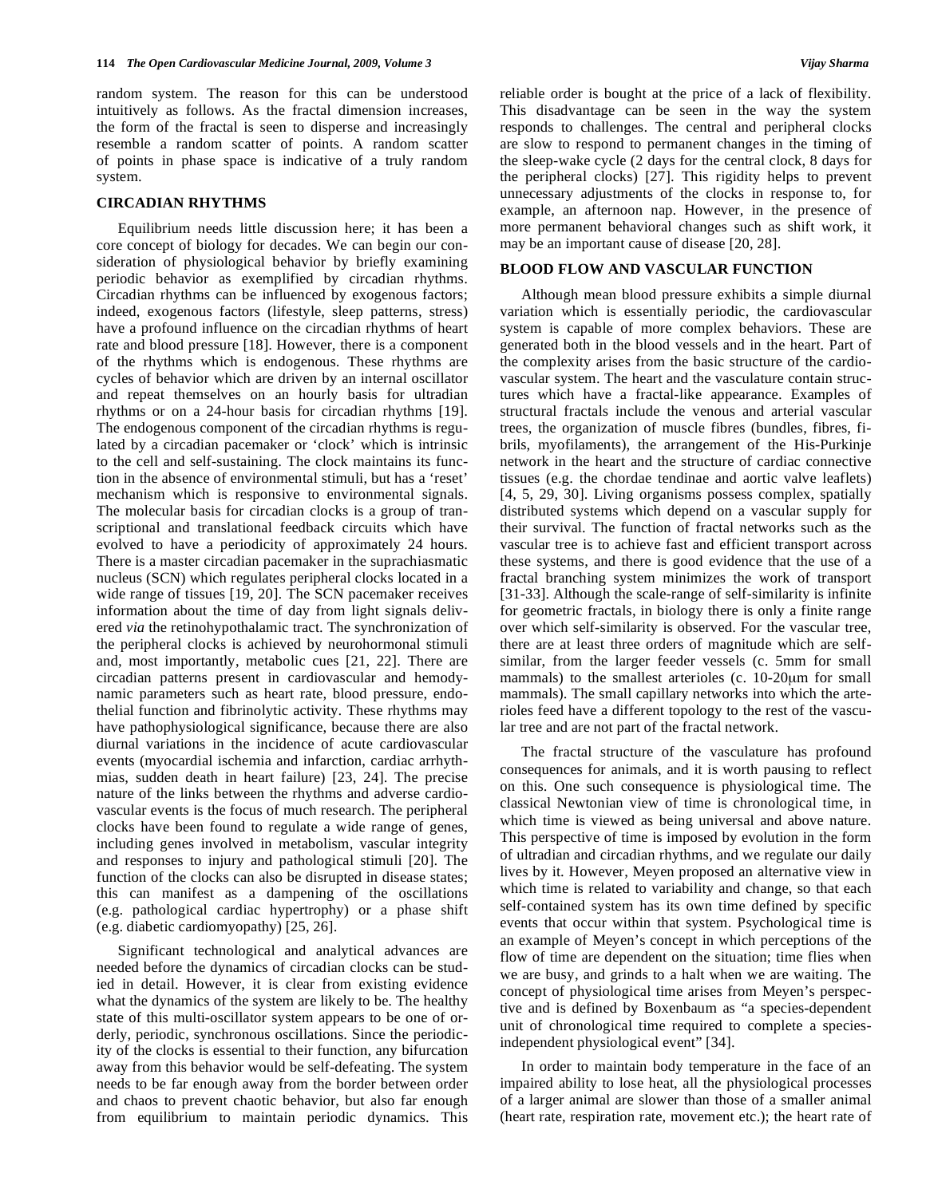random system. The reason for this can be understood intuitively as follows. As the fractal dimension increases, the form of the fractal is seen to disperse and increasingly resemble a random scatter of points. A random scatter of points in phase space is indicative of a truly random system.

#### **CIRCADIAN RHYTHMS**

 Equilibrium needs little discussion here; it has been a core concept of biology for decades. We can begin our consideration of physiological behavior by briefly examining periodic behavior as exemplified by circadian rhythms. Circadian rhythms can be influenced by exogenous factors; indeed, exogenous factors (lifestyle, sleep patterns, stress) have a profound influence on the circadian rhythms of heart rate and blood pressure [18]. However, there is a component of the rhythms which is endogenous. These rhythms are cycles of behavior which are driven by an internal oscillator and repeat themselves on an hourly basis for ultradian rhythms or on a 24-hour basis for circadian rhythms [19]. The endogenous component of the circadian rhythms is regulated by a circadian pacemaker or 'clock' which is intrinsic to the cell and self-sustaining. The clock maintains its function in the absence of environmental stimuli, but has a 'reset' mechanism which is responsive to environmental signals. The molecular basis for circadian clocks is a group of transcriptional and translational feedback circuits which have evolved to have a periodicity of approximately 24 hours. There is a master circadian pacemaker in the suprachiasmatic nucleus (SCN) which regulates peripheral clocks located in a wide range of tissues [19, 20]. The SCN pacemaker receives information about the time of day from light signals delivered *via* the retinohypothalamic tract. The synchronization of the peripheral clocks is achieved by neurohormonal stimuli and, most importantly, metabolic cues [21, 22]. There are circadian patterns present in cardiovascular and hemodynamic parameters such as heart rate, blood pressure, endothelial function and fibrinolytic activity. These rhythms may have pathophysiological significance, because there are also diurnal variations in the incidence of acute cardiovascular events (myocardial ischemia and infarction, cardiac arrhythmias, sudden death in heart failure) [23, 24]. The precise nature of the links between the rhythms and adverse cardiovascular events is the focus of much research. The peripheral clocks have been found to regulate a wide range of genes, including genes involved in metabolism, vascular integrity and responses to injury and pathological stimuli [20]. The function of the clocks can also be disrupted in disease states; this can manifest as a dampening of the oscillations (e.g. pathological cardiac hypertrophy) or a phase shift (e.g. diabetic cardiomyopathy) [25, 26].

 Significant technological and analytical advances are needed before the dynamics of circadian clocks can be studied in detail. However, it is clear from existing evidence what the dynamics of the system are likely to be. The healthy state of this multi-oscillator system appears to be one of orderly, periodic, synchronous oscillations. Since the periodicity of the clocks is essential to their function, any bifurcation away from this behavior would be self-defeating. The system needs to be far enough away from the border between order and chaos to prevent chaotic behavior, but also far enough from equilibrium to maintain periodic dynamics. This reliable order is bought at the price of a lack of flexibility. This disadvantage can be seen in the way the system responds to challenges. The central and peripheral clocks are slow to respond to permanent changes in the timing of the sleep-wake cycle (2 days for the central clock, 8 days for the peripheral clocks) [27]. This rigidity helps to prevent unnecessary adjustments of the clocks in response to, for example, an afternoon nap. However, in the presence of more permanent behavioral changes such as shift work, it may be an important cause of disease [20, 28].

#### **BLOOD FLOW AND VASCULAR FUNCTION**

 Although mean blood pressure exhibits a simple diurnal variation which is essentially periodic, the cardiovascular system is capable of more complex behaviors. These are generated both in the blood vessels and in the heart. Part of the complexity arises from the basic structure of the cardiovascular system. The heart and the vasculature contain structures which have a fractal-like appearance. Examples of structural fractals include the venous and arterial vascular trees, the organization of muscle fibres (bundles, fibres, fibrils, myofilaments), the arrangement of the His-Purkinje network in the heart and the structure of cardiac connective tissues (e.g. the chordae tendinae and aortic valve leaflets) [4, 5, 29, 30]. Living organisms possess complex, spatially distributed systems which depend on a vascular supply for their survival. The function of fractal networks such as the vascular tree is to achieve fast and efficient transport across these systems, and there is good evidence that the use of a fractal branching system minimizes the work of transport [31-33]. Although the scale-range of self-similarity is infinite for geometric fractals, in biology there is only a finite range over which self-similarity is observed. For the vascular tree, there are at least three orders of magnitude which are selfsimilar, from the larger feeder vessels (c. 5mm for small mammals) to the smallest arterioles (c. 10-20μm for small mammals). The small capillary networks into which the arterioles feed have a different topology to the rest of the vascular tree and are not part of the fractal network.

 The fractal structure of the vasculature has profound consequences for animals, and it is worth pausing to reflect on this. One such consequence is physiological time. The classical Newtonian view of time is chronological time, in which time is viewed as being universal and above nature. This perspective of time is imposed by evolution in the form of ultradian and circadian rhythms, and we regulate our daily lives by it. However, Meyen proposed an alternative view in which time is related to variability and change, so that each self-contained system has its own time defined by specific events that occur within that system. Psychological time is an example of Meyen's concept in which perceptions of the flow of time are dependent on the situation; time flies when we are busy, and grinds to a halt when we are waiting. The concept of physiological time arises from Meyen's perspective and is defined by Boxenbaum as "a species-dependent unit of chronological time required to complete a speciesindependent physiological event" [34].

 In order to maintain body temperature in the face of an impaired ability to lose heat, all the physiological processes of a larger animal are slower than those of a smaller animal (heart rate, respiration rate, movement etc.); the heart rate of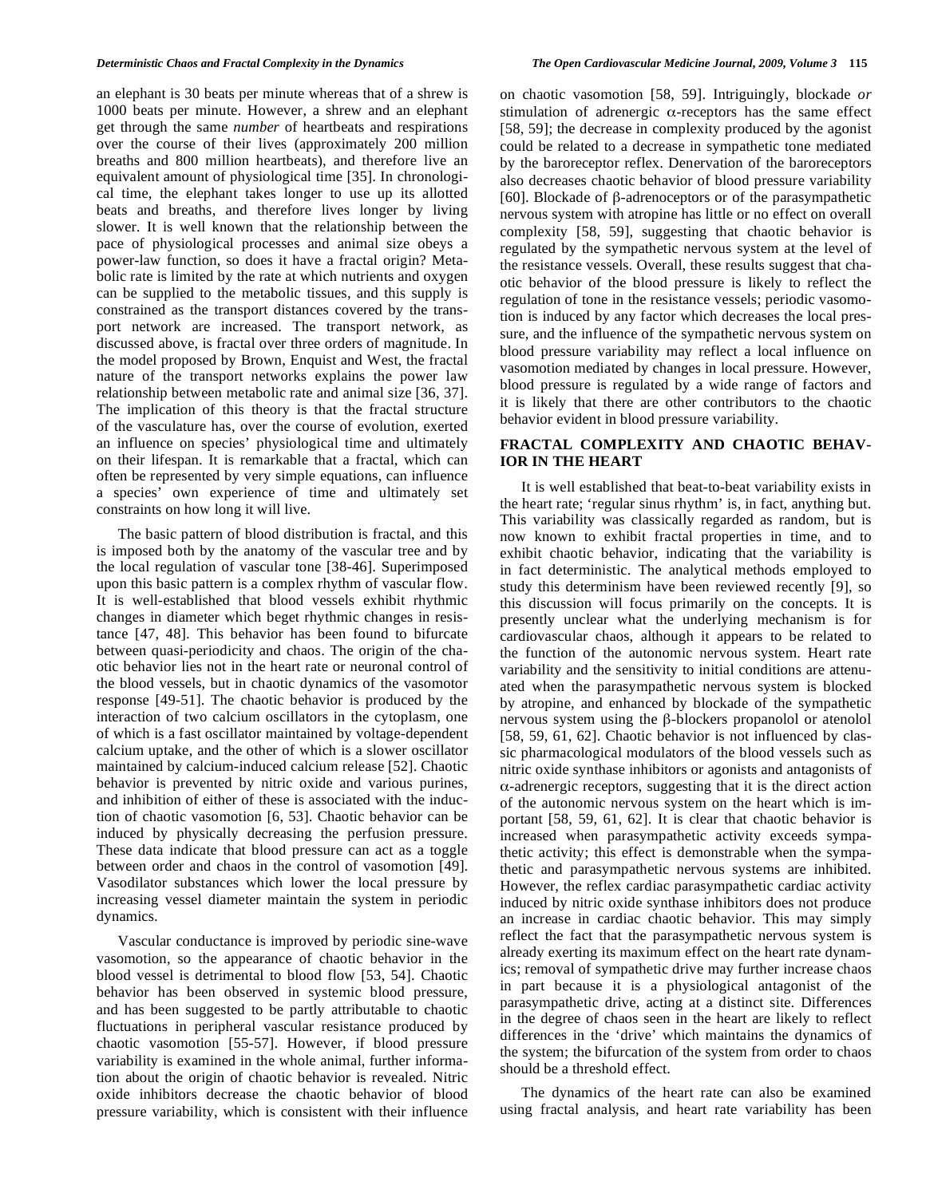an elephant is 30 beats per minute whereas that of a shrew is 1000 beats per minute. However, a shrew and an elephant get through the same *number* of heartbeats and respirations over the course of their lives (approximately 200 million breaths and 800 million heartbeats), and therefore live an equivalent amount of physiological time [35]. In chronological time, the elephant takes longer to use up its allotted beats and breaths, and therefore lives longer by living slower. It is well known that the relationship between the pace of physiological processes and animal size obeys a power-law function, so does it have a fractal origin? Metabolic rate is limited by the rate at which nutrients and oxygen can be supplied to the metabolic tissues, and this supply is constrained as the transport distances covered by the transport network are increased. The transport network, as discussed above, is fractal over three orders of magnitude. In the model proposed by Brown, Enquist and West, the fractal nature of the transport networks explains the power law relationship between metabolic rate and animal size [36, 37]. The implication of this theory is that the fractal structure of the vasculature has, over the course of evolution, exerted an influence on species' physiological time and ultimately on their lifespan. It is remarkable that a fractal, which can often be represented by very simple equations, can influence a species' own experience of time and ultimately set constraints on how long it will live.

 The basic pattern of blood distribution is fractal, and this is imposed both by the anatomy of the vascular tree and by the local regulation of vascular tone [38-46]. Superimposed upon this basic pattern is a complex rhythm of vascular flow. It is well-established that blood vessels exhibit rhythmic changes in diameter which beget rhythmic changes in resistance [47, 48]. This behavior has been found to bifurcate between quasi-periodicity and chaos. The origin of the chaotic behavior lies not in the heart rate or neuronal control of the blood vessels, but in chaotic dynamics of the vasomotor response [49-51]. The chaotic behavior is produced by the interaction of two calcium oscillators in the cytoplasm, one of which is a fast oscillator maintained by voltage-dependent calcium uptake, and the other of which is a slower oscillator maintained by calcium-induced calcium release [52]. Chaotic behavior is prevented by nitric oxide and various purines, and inhibition of either of these is associated with the induction of chaotic vasomotion [6, 53]. Chaotic behavior can be induced by physically decreasing the perfusion pressure. These data indicate that blood pressure can act as a toggle between order and chaos in the control of vasomotion [49]. Vasodilator substances which lower the local pressure by increasing vessel diameter maintain the system in periodic dynamics.

 Vascular conductance is improved by periodic sine-wave vasomotion, so the appearance of chaotic behavior in the blood vessel is detrimental to blood flow [53, 54]. Chaotic behavior has been observed in systemic blood pressure, and has been suggested to be partly attributable to chaotic fluctuations in peripheral vascular resistance produced by chaotic vasomotion [55-57]. However, if blood pressure variability is examined in the whole animal, further information about the origin of chaotic behavior is revealed. Nitric oxide inhibitors decrease the chaotic behavior of blood pressure variability, which is consistent with their influence on chaotic vasomotion [58, 59]. Intriguingly, blockade *or* stimulation of adrenergic  $\alpha$ -receptors has the same effect [58, 59]; the decrease in complexity produced by the agonist could be related to a decrease in sympathetic tone mediated by the baroreceptor reflex. Denervation of the baroreceptors also decreases chaotic behavior of blood pressure variability [60]. Blockade of  $\beta$ -adrenoceptors or of the parasympathetic nervous system with atropine has little or no effect on overall complexity [58, 59], suggesting that chaotic behavior is regulated by the sympathetic nervous system at the level of the resistance vessels. Overall, these results suggest that chaotic behavior of the blood pressure is likely to reflect the regulation of tone in the resistance vessels; periodic vasomotion is induced by any factor which decreases the local pressure, and the influence of the sympathetic nervous system on blood pressure variability may reflect a local influence on vasomotion mediated by changes in local pressure. However, blood pressure is regulated by a wide range of factors and it is likely that there are other contributors to the chaotic behavior evident in blood pressure variability.

### **FRACTAL COMPLEXITY AND CHAOTIC BEHAV-IOR IN THE HEART**

It is well established that beat-to-beat variability exists in the heart rate; 'regular sinus rhythm' is, in fact, anything but. This variability was classically regarded as random, but is now known to exhibit fractal properties in time, and to exhibit chaotic behavior, indicating that the variability is in fact deterministic. The analytical methods employed to study this determinism have been reviewed recently [9], so this discussion will focus primarily on the concepts. It is presently unclear what the underlying mechanism is for cardiovascular chaos, although it appears to be related to the function of the autonomic nervous system. Heart rate variability and the sensitivity to initial conditions are attenuated when the parasympathetic nervous system is blocked by atropine, and enhanced by blockade of the sympathetic nervous system using the  $\beta$ -blockers propanolol or atenolol [58, 59, 61, 62]. Chaotic behavior is not influenced by classic pharmacological modulators of the blood vessels such as nitric oxide synthase inhibitors or agonists and antagonists of -adrenergic receptors, suggesting that it is the direct action of the autonomic nervous system on the heart which is important [58, 59, 61, 62]. It is clear that chaotic behavior is increased when parasympathetic activity exceeds sympathetic activity; this effect is demonstrable when the sympathetic and parasympathetic nervous systems are inhibited. However, the reflex cardiac parasympathetic cardiac activity induced by nitric oxide synthase inhibitors does not produce an increase in cardiac chaotic behavior. This may simply reflect the fact that the parasympathetic nervous system is already exerting its maximum effect on the heart rate dynamics; removal of sympathetic drive may further increase chaos in part because it is a physiological antagonist of the parasympathetic drive, acting at a distinct site. Differences in the degree of chaos seen in the heart are likely to reflect differences in the 'drive' which maintains the dynamics of the system; the bifurcation of the system from order to chaos should be a threshold effect.

 The dynamics of the heart rate can also be examined using fractal analysis, and heart rate variability has been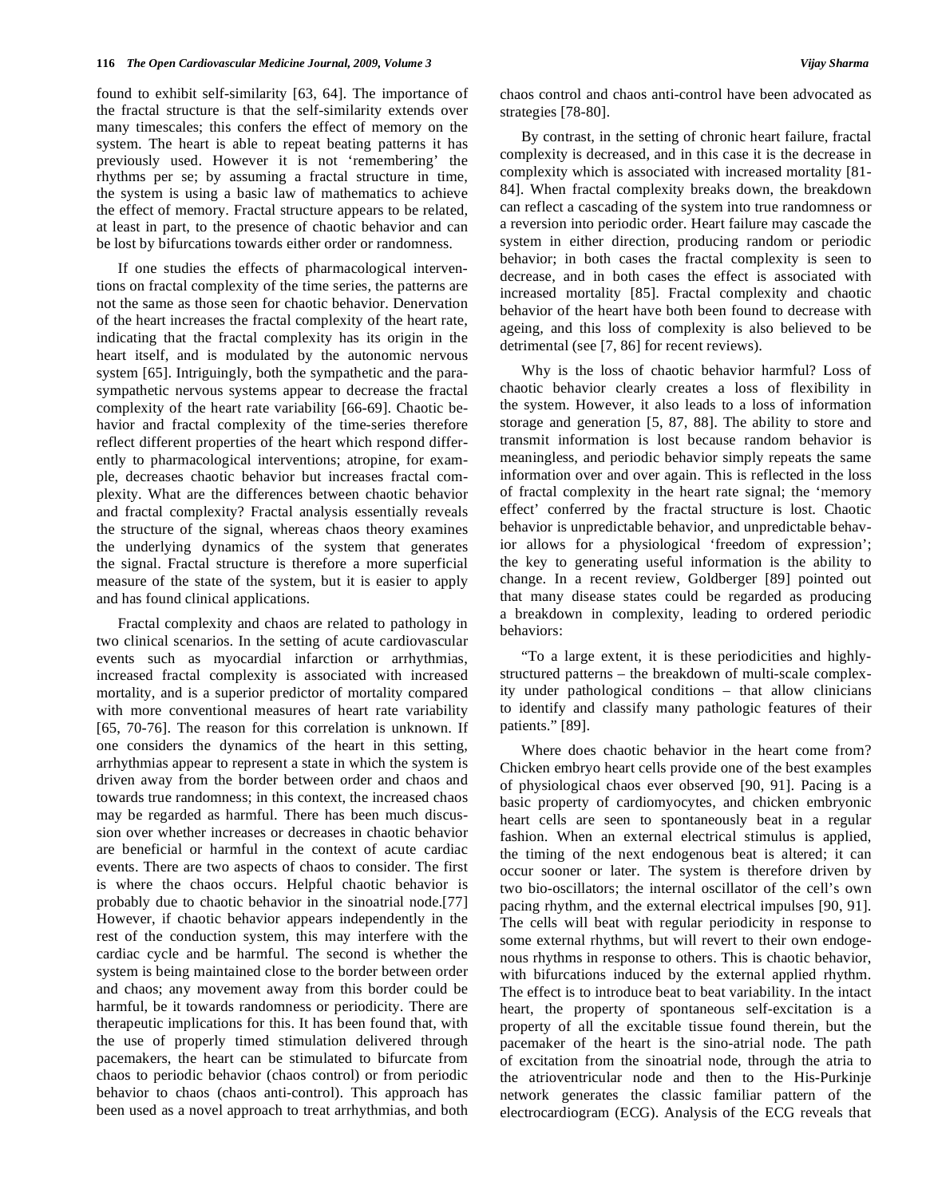found to exhibit self-similarity [63, 64]. The importance of the fractal structure is that the self-similarity extends over many timescales; this confers the effect of memory on the system. The heart is able to repeat beating patterns it has previously used. However it is not 'remembering' the rhythms per se; by assuming a fractal structure in time, the system is using a basic law of mathematics to achieve the effect of memory. Fractal structure appears to be related, at least in part, to the presence of chaotic behavior and can be lost by bifurcations towards either order or randomness.

 If one studies the effects of pharmacological interventions on fractal complexity of the time series, the patterns are not the same as those seen for chaotic behavior. Denervation of the heart increases the fractal complexity of the heart rate, indicating that the fractal complexity has its origin in the heart itself, and is modulated by the autonomic nervous system [65]. Intriguingly, both the sympathetic and the parasympathetic nervous systems appear to decrease the fractal complexity of the heart rate variability [66-69]. Chaotic behavior and fractal complexity of the time-series therefore reflect different properties of the heart which respond differently to pharmacological interventions; atropine, for example, decreases chaotic behavior but increases fractal complexity. What are the differences between chaotic behavior and fractal complexity? Fractal analysis essentially reveals the structure of the signal, whereas chaos theory examines the underlying dynamics of the system that generates the signal. Fractal structure is therefore a more superficial measure of the state of the system, but it is easier to apply and has found clinical applications.

 Fractal complexity and chaos are related to pathology in two clinical scenarios. In the setting of acute cardiovascular events such as myocardial infarction or arrhythmias, increased fractal complexity is associated with increased mortality, and is a superior predictor of mortality compared with more conventional measures of heart rate variability [65, 70-76]. The reason for this correlation is unknown. If one considers the dynamics of the heart in this setting, arrhythmias appear to represent a state in which the system is driven away from the border between order and chaos and towards true randomness; in this context, the increased chaos may be regarded as harmful. There has been much discussion over whether increases or decreases in chaotic behavior are beneficial or harmful in the context of acute cardiac events. There are two aspects of chaos to consider. The first is where the chaos occurs. Helpful chaotic behavior is probably due to chaotic behavior in the sinoatrial node.[77] However, if chaotic behavior appears independently in the rest of the conduction system, this may interfere with the cardiac cycle and be harmful. The second is whether the system is being maintained close to the border between order and chaos; any movement away from this border could be harmful, be it towards randomness or periodicity. There are therapeutic implications for this. It has been found that, with the use of properly timed stimulation delivered through pacemakers, the heart can be stimulated to bifurcate from chaos to periodic behavior (chaos control) or from periodic behavior to chaos (chaos anti-control). This approach has been used as a novel approach to treat arrhythmias, and both chaos control and chaos anti-control have been advocated as strategies [78-80].

 By contrast, in the setting of chronic heart failure, fractal complexity is decreased, and in this case it is the decrease in complexity which is associated with increased mortality [81- 84]. When fractal complexity breaks down, the breakdown can reflect a cascading of the system into true randomness or a reversion into periodic order. Heart failure may cascade the system in either direction, producing random or periodic behavior; in both cases the fractal complexity is seen to decrease, and in both cases the effect is associated with increased mortality [85]. Fractal complexity and chaotic behavior of the heart have both been found to decrease with ageing, and this loss of complexity is also believed to be detrimental (see [7, 86] for recent reviews).

 Why is the loss of chaotic behavior harmful? Loss of chaotic behavior clearly creates a loss of flexibility in the system. However, it also leads to a loss of information storage and generation [5, 87, 88]. The ability to store and transmit information is lost because random behavior is meaningless, and periodic behavior simply repeats the same information over and over again. This is reflected in the loss of fractal complexity in the heart rate signal; the 'memory effect' conferred by the fractal structure is lost. Chaotic behavior is unpredictable behavior, and unpredictable behavior allows for a physiological 'freedom of expression'; the key to generating useful information is the ability to change. In a recent review, Goldberger [89] pointed out that many disease states could be regarded as producing a breakdown in complexity, leading to ordered periodic behaviors:

 "To a large extent, it is these periodicities and highlystructured patterns – the breakdown of multi-scale complexity under pathological conditions – that allow clinicians to identify and classify many pathologic features of their patients." [89].

 Where does chaotic behavior in the heart come from? Chicken embryo heart cells provide one of the best examples of physiological chaos ever observed [90, 91]. Pacing is a basic property of cardiomyocytes, and chicken embryonic heart cells are seen to spontaneously beat in a regular fashion. When an external electrical stimulus is applied, the timing of the next endogenous beat is altered; it can occur sooner or later. The system is therefore driven by two bio-oscillators; the internal oscillator of the cell's own pacing rhythm, and the external electrical impulses [90, 91]. The cells will beat with regular periodicity in response to some external rhythms, but will revert to their own endogenous rhythms in response to others. This is chaotic behavior, with bifurcations induced by the external applied rhythm. The effect is to introduce beat to beat variability. In the intact heart, the property of spontaneous self-excitation is a property of all the excitable tissue found therein, but the pacemaker of the heart is the sino-atrial node. The path of excitation from the sinoatrial node, through the atria to the atrioventricular node and then to the His-Purkinje network generates the classic familiar pattern of the electrocardiogram (ECG). Analysis of the ECG reveals that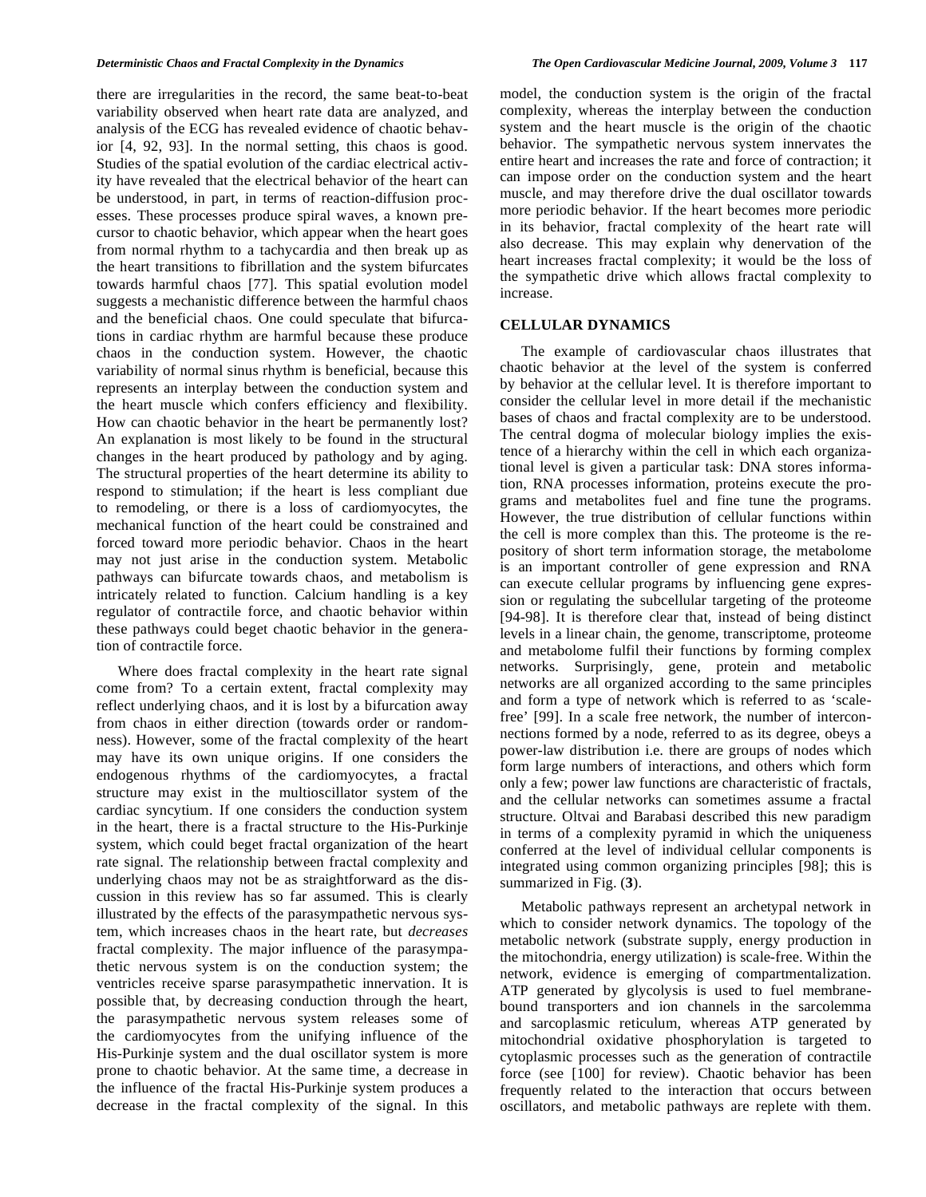there are irregularities in the record, the same beat-to-beat variability observed when heart rate data are analyzed, and analysis of the ECG has revealed evidence of chaotic behavior [4, 92, 93]. In the normal setting, this chaos is good. Studies of the spatial evolution of the cardiac electrical activity have revealed that the electrical behavior of the heart can be understood, in part, in terms of reaction-diffusion processes. These processes produce spiral waves, a known precursor to chaotic behavior, which appear when the heart goes from normal rhythm to a tachycardia and then break up as the heart transitions to fibrillation and the system bifurcates towards harmful chaos [77]. This spatial evolution model suggests a mechanistic difference between the harmful chaos and the beneficial chaos. One could speculate that bifurcations in cardiac rhythm are harmful because these produce chaos in the conduction system. However, the chaotic variability of normal sinus rhythm is beneficial, because this represents an interplay between the conduction system and the heart muscle which confers efficiency and flexibility. How can chaotic behavior in the heart be permanently lost? An explanation is most likely to be found in the structural changes in the heart produced by pathology and by aging. The structural properties of the heart determine its ability to respond to stimulation; if the heart is less compliant due to remodeling, or there is a loss of cardiomyocytes, the mechanical function of the heart could be constrained and forced toward more periodic behavior. Chaos in the heart may not just arise in the conduction system. Metabolic pathways can bifurcate towards chaos, and metabolism is intricately related to function. Calcium handling is a key regulator of contractile force, and chaotic behavior within these pathways could beget chaotic behavior in the generation of contractile force.

 Where does fractal complexity in the heart rate signal come from? To a certain extent, fractal complexity may reflect underlying chaos, and it is lost by a bifurcation away from chaos in either direction (towards order or randomness). However, some of the fractal complexity of the heart may have its own unique origins. If one considers the endogenous rhythms of the cardiomyocytes, a fractal structure may exist in the multioscillator system of the cardiac syncytium. If one considers the conduction system in the heart, there is a fractal structure to the His-Purkinje system, which could beget fractal organization of the heart rate signal. The relationship between fractal complexity and underlying chaos may not be as straightforward as the discussion in this review has so far assumed. This is clearly illustrated by the effects of the parasympathetic nervous system, which increases chaos in the heart rate, but *decreases* fractal complexity. The major influence of the parasympathetic nervous system is on the conduction system; the ventricles receive sparse parasympathetic innervation. It is possible that, by decreasing conduction through the heart, the parasympathetic nervous system releases some of the cardiomyocytes from the unifying influence of the His-Purkinje system and the dual oscillator system is more prone to chaotic behavior. At the same time, a decrease in the influence of the fractal His-Purkinje system produces a decrease in the fractal complexity of the signal. In this

model, the conduction system is the origin of the fractal complexity, whereas the interplay between the conduction system and the heart muscle is the origin of the chaotic behavior. The sympathetic nervous system innervates the entire heart and increases the rate and force of contraction; it can impose order on the conduction system and the heart muscle, and may therefore drive the dual oscillator towards more periodic behavior. If the heart becomes more periodic in its behavior, fractal complexity of the heart rate will also decrease. This may explain why denervation of the heart increases fractal complexity; it would be the loss of the sympathetic drive which allows fractal complexity to increase.

## **CELLULAR DYNAMICS**

 The example of cardiovascular chaos illustrates that chaotic behavior at the level of the system is conferred by behavior at the cellular level. It is therefore important to consider the cellular level in more detail if the mechanistic bases of chaos and fractal complexity are to be understood. The central dogma of molecular biology implies the existence of a hierarchy within the cell in which each organizational level is given a particular task: DNA stores information, RNA processes information, proteins execute the programs and metabolites fuel and fine tune the programs. However, the true distribution of cellular functions within the cell is more complex than this. The proteome is the repository of short term information storage, the metabolome is an important controller of gene expression and RNA can execute cellular programs by influencing gene expression or regulating the subcellular targeting of the proteome [94-98]. It is therefore clear that, instead of being distinct levels in a linear chain, the genome, transcriptome, proteome and metabolome fulfil their functions by forming complex networks. Surprisingly, gene, protein and metabolic networks are all organized according to the same principles and form a type of network which is referred to as 'scalefree' [99]. In a scale free network, the number of interconnections formed by a node, referred to as its degree, obeys a power-law distribution i.e. there are groups of nodes which form large numbers of interactions, and others which form only a few; power law functions are characteristic of fractals, and the cellular networks can sometimes assume a fractal structure. Oltvai and Barabasi described this new paradigm in terms of a complexity pyramid in which the uniqueness conferred at the level of individual cellular components is integrated using common organizing principles [98]; this is summarized in Fig. (**3**).

 Metabolic pathways represent an archetypal network in which to consider network dynamics. The topology of the metabolic network (substrate supply, energy production in the mitochondria, energy utilization) is scale-free. Within the network, evidence is emerging of compartmentalization. ATP generated by glycolysis is used to fuel membranebound transporters and ion channels in the sarcolemma and sarcoplasmic reticulum, whereas ATP generated by mitochondrial oxidative phosphorylation is targeted to cytoplasmic processes such as the generation of contractile force (see [100] for review). Chaotic behavior has been frequently related to the interaction that occurs between oscillators, and metabolic pathways are replete with them.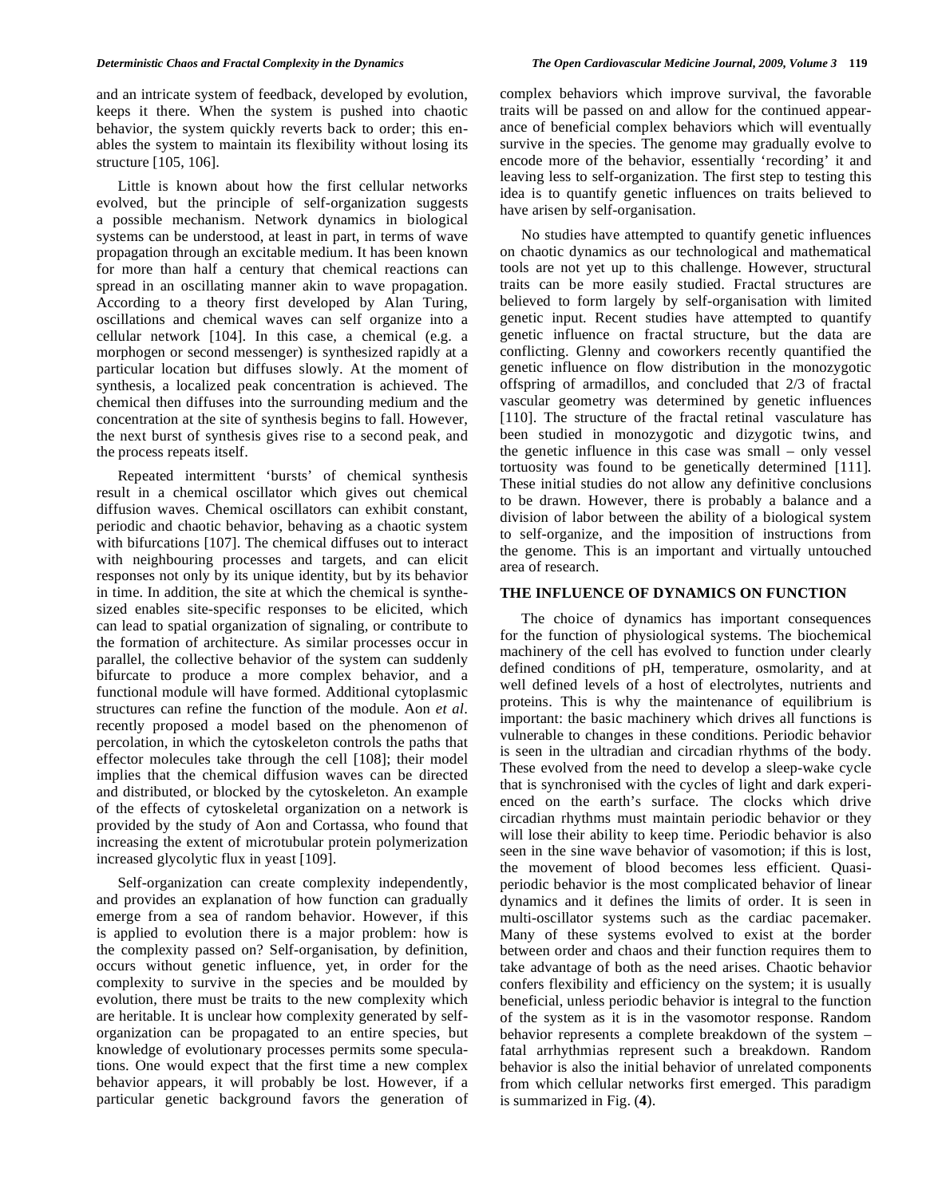and an intricate system of feedback, developed by evolution, keeps it there. When the system is pushed into chaotic behavior, the system quickly reverts back to order; this enables the system to maintain its flexibility without losing its structure [105, 106].

 Little is known about how the first cellular networks evolved, but the principle of self-organization suggests a possible mechanism. Network dynamics in biological systems can be understood, at least in part, in terms of wave propagation through an excitable medium. It has been known for more than half a century that chemical reactions can spread in an oscillating manner akin to wave propagation. According to a theory first developed by Alan Turing, oscillations and chemical waves can self organize into a cellular network [104]. In this case, a chemical (e.g. a morphogen or second messenger) is synthesized rapidly at a particular location but diffuses slowly. At the moment of synthesis, a localized peak concentration is achieved. The chemical then diffuses into the surrounding medium and the concentration at the site of synthesis begins to fall. However, the next burst of synthesis gives rise to a second peak, and the process repeats itself.

 Repeated intermittent 'bursts' of chemical synthesis result in a chemical oscillator which gives out chemical diffusion waves. Chemical oscillators can exhibit constant, periodic and chaotic behavior, behaving as a chaotic system with bifurcations [107]. The chemical diffuses out to interact with neighbouring processes and targets, and can elicit responses not only by its unique identity, but by its behavior in time. In addition, the site at which the chemical is synthesized enables site-specific responses to be elicited, which can lead to spatial organization of signaling, or contribute to the formation of architecture. As similar processes occur in parallel, the collective behavior of the system can suddenly bifurcate to produce a more complex behavior, and a functional module will have formed. Additional cytoplasmic structures can refine the function of the module. Aon *et al*. recently proposed a model based on the phenomenon of percolation, in which the cytoskeleton controls the paths that effector molecules take through the cell [108]; their model implies that the chemical diffusion waves can be directed and distributed, or blocked by the cytoskeleton. An example of the effects of cytoskeletal organization on a network is provided by the study of Aon and Cortassa, who found that increasing the extent of microtubular protein polymerization increased glycolytic flux in yeast [109].

 Self-organization can create complexity independently, and provides an explanation of how function can gradually emerge from a sea of random behavior. However, if this is applied to evolution there is a major problem: how is the complexity passed on? Self-organisation, by definition, occurs without genetic influence, yet, in order for the complexity to survive in the species and be moulded by evolution, there must be traits to the new complexity which are heritable. It is unclear how complexity generated by selforganization can be propagated to an entire species, but knowledge of evolutionary processes permits some speculations. One would expect that the first time a new complex behavior appears, it will probably be lost. However, if a particular genetic background favors the generation of

complex behaviors which improve survival, the favorable traits will be passed on and allow for the continued appearance of beneficial complex behaviors which will eventually survive in the species. The genome may gradually evolve to encode more of the behavior, essentially 'recording' it and leaving less to self-organization. The first step to testing this idea is to quantify genetic influences on traits believed to have arisen by self-organisation.

 No studies have attempted to quantify genetic influences on chaotic dynamics as our technological and mathematical tools are not yet up to this challenge. However, structural traits can be more easily studied. Fractal structures are believed to form largely by self-organisation with limited genetic input. Recent studies have attempted to quantify genetic influence on fractal structure, but the data are conflicting. Glenny and coworkers recently quantified the genetic influence on flow distribution in the monozygotic offspring of armadillos, and concluded that 2/3 of fractal vascular geometry was determined by genetic influences [110]. The structure of the fractal retinal vasculature has been studied in monozygotic and dizygotic twins, and the genetic influence in this case was small – only vessel tortuosity was found to be genetically determined [111]. These initial studies do not allow any definitive conclusions to be drawn. However, there is probably a balance and a division of labor between the ability of a biological system to self-organize, and the imposition of instructions from the genome. This is an important and virtually untouched area of research.

### **THE INFLUENCE OF DYNAMICS ON FUNCTION**

 The choice of dynamics has important consequences for the function of physiological systems. The biochemical machinery of the cell has evolved to function under clearly defined conditions of pH, temperature, osmolarity, and at well defined levels of a host of electrolytes, nutrients and proteins. This is why the maintenance of equilibrium is important: the basic machinery which drives all functions is vulnerable to changes in these conditions. Periodic behavior is seen in the ultradian and circadian rhythms of the body. These evolved from the need to develop a sleep-wake cycle that is synchronised with the cycles of light and dark experienced on the earth's surface. The clocks which drive circadian rhythms must maintain periodic behavior or they will lose their ability to keep time. Periodic behavior is also seen in the sine wave behavior of vasomotion; if this is lost, the movement of blood becomes less efficient. Quasiperiodic behavior is the most complicated behavior of linear dynamics and it defines the limits of order. It is seen in multi-oscillator systems such as the cardiac pacemaker. Many of these systems evolved to exist at the border between order and chaos and their function requires them to take advantage of both as the need arises. Chaotic behavior confers flexibility and efficiency on the system; it is usually beneficial, unless periodic behavior is integral to the function of the system as it is in the vasomotor response. Random behavior represents a complete breakdown of the system – fatal arrhythmias represent such a breakdown. Random behavior is also the initial behavior of unrelated components from which cellular networks first emerged. This paradigm is summarized in Fig. (**4**).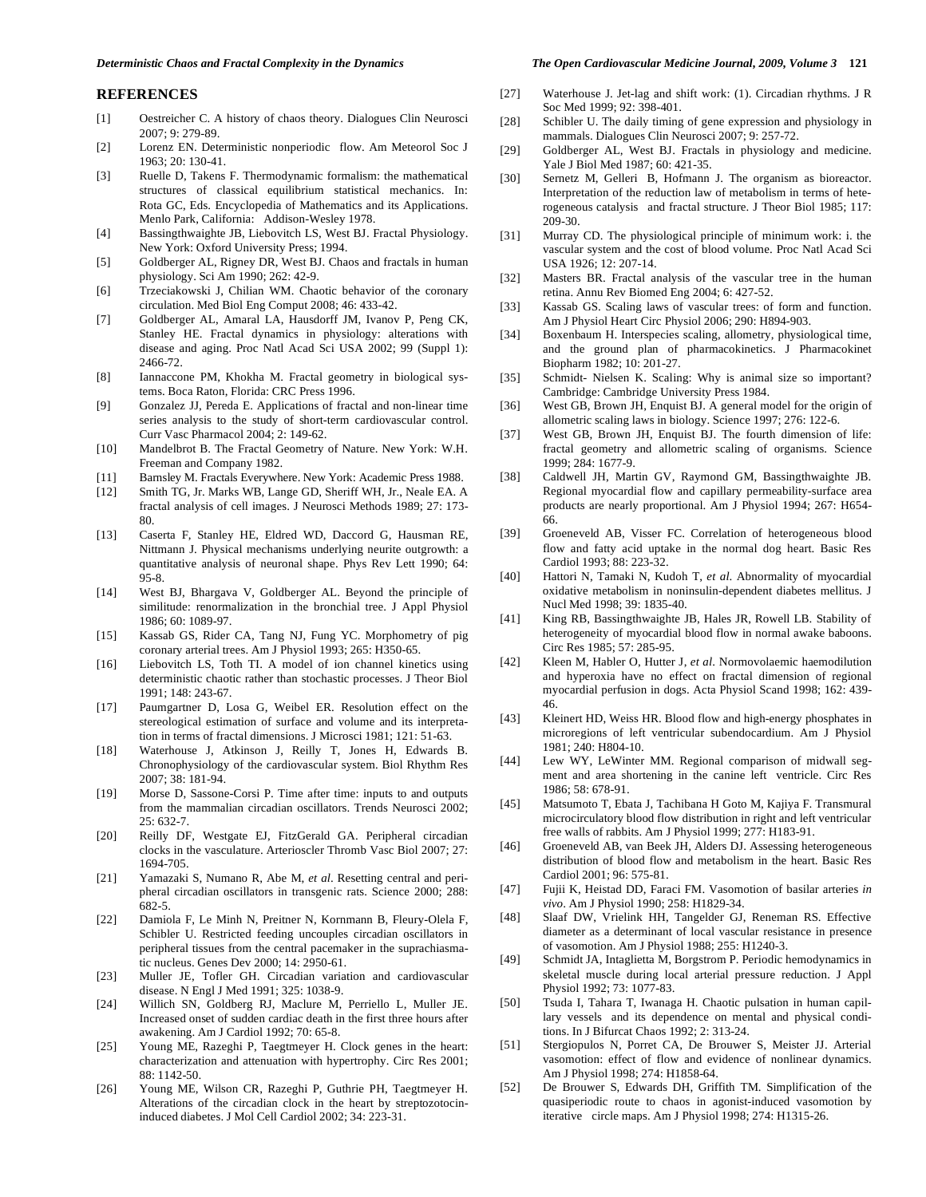#### **REFERENCES**

- [1] Oestreicher C. A history of chaos theory. Dialogues Clin Neurosci 2007; 9: 279-89.
- [2] Lorenz EN. Deterministic nonperiodic flow. Am Meteorol Soc J 1963; 20: 130-41.
- [3] Ruelle D, Takens F. Thermodynamic formalism: the mathematical structures of classical equilibrium statistical mechanics. In: Rota GC, Eds. Encyclopedia of Mathematics and its Applications. Menlo Park, California: Addison-Wesley 1978.
- [4] Bassingthwaighte JB, Liebovitch LS, West BJ. Fractal Physiology. New York: Oxford University Press; 1994.
- [5] Goldberger AL, Rigney DR, West BJ. Chaos and fractals in human physiology. Sci Am 1990; 262: 42-9.
- [6] Trzeciakowski J, Chilian WM. Chaotic behavior of the coronary circulation. Med Biol Eng Comput 2008; 46: 433-42.
- [7] Goldberger AL, Amaral LA, Hausdorff JM, Ivanov P, Peng CK, Stanley HE. Fractal dynamics in physiology: alterations with disease and aging. Proc Natl Acad Sci USA 2002; 99 (Suppl 1): 2466-72.
- [8] Iannaccone PM, Khokha M. Fractal geometry in biological systems. Boca Raton, Florida: CRC Press 1996.
- [9] Gonzalez JJ, Pereda E. Applications of fractal and non-linear time series analysis to the study of short-term cardiovascular control. Curr Vasc Pharmacol 2004; 2: 149-62.
- [10] Mandelbrot B. The Fractal Geometry of Nature. New York: W.H. Freeman and Company 1982.
- [11] Barnsley M. Fractals Everywhere. New York: Academic Press 1988.
- [12] Smith TG, Jr. Marks WB, Lange GD, Sheriff WH, Jr., Neale EA. A fractal analysis of cell images. J Neurosci Methods 1989; 27: 173- 80.
- [13] Caserta F, Stanley HE, Eldred WD, Daccord G, Hausman RE, Nittmann J. Physical mechanisms underlying neurite outgrowth: a quantitative analysis of neuronal shape. Phys Rev Lett 1990; 64: 95-8.
- [14] West BJ, Bhargava V, Goldberger AL. Beyond the principle of similitude: renormalization in the bronchial tree. J Appl Physiol 1986; 60: 1089-97.
- [15] Kassab GS, Rider CA, Tang NJ, Fung YC. Morphometry of pig coronary arterial trees. Am J Physiol 1993; 265: H350-65.
- [16] Liebovitch LS, Toth TI. A model of ion channel kinetics using deterministic chaotic rather than stochastic processes. J Theor Biol 1991; 148: 243-67.
- [17] Paumgartner D, Losa G, Weibel ER. Resolution effect on the stereological estimation of surface and volume and its interpretation in terms of fractal dimensions. J Microsci 1981; 121: 51-63.
- [18] Waterhouse J, Atkinson J, Reilly T, Jones H, Edwards B. Chronophysiology of the cardiovascular system. Biol Rhythm Res 2007; 38: 181-94.
- [19] Morse D, Sassone-Corsi P. Time after time: inputs to and outputs from the mammalian circadian oscillators. Trends Neurosci 2002; 25: 632-7.
- [20] Reilly DF, Westgate EJ, FitzGerald GA. Peripheral circadian clocks in the vasculature. Arterioscler Thromb Vasc Biol 2007; 27: 1694-705.
- [21] Yamazaki S, Numano R, Abe M, *et al*. Resetting central and peripheral circadian oscillators in transgenic rats. Science 2000; 288: 682-5.
- [22] Damiola F, Le Minh N, Preitner N, Kornmann B, Fleury-Olela F, Schibler U. Restricted feeding uncouples circadian oscillators in peripheral tissues from the central pacemaker in the suprachiasmatic nucleus. Genes Dev 2000; 14: 2950-61.
- [23] Muller JE, Tofler GH. Circadian variation and cardiovascular disease. N Engl J Med 1991; 325: 1038-9.
- [24] Willich SN, Goldberg RJ, Maclure M, Perriello L, Muller JE. Increased onset of sudden cardiac death in the first three hours after awakening. Am J Cardiol 1992; 70: 65-8.
- [25] Young ME, Razeghi P, Taegtmeyer H. Clock genes in the heart: characterization and attenuation with hypertrophy. Circ Res 2001; 88: 1142-50.
- [26] Young ME, Wilson CR, Razeghi P, Guthrie PH, Taegtmeyer H. Alterations of the circadian clock in the heart by streptozotocininduced diabetes. J Mol Cell Cardiol 2002; 34: 223-31.

#### *Deterministic Chaos and Fractal Complexity in the Dynamics The Open Cardiovascular Medicine Journal, 2009, Volume 3* **121**

- [27] Waterhouse J. Jet-lag and shift work: (1). Circadian rhythms. J R Soc Med 1999; 92: 398-401.
- [28] Schibler U. The daily timing of gene expression and physiology in mammals. Dialogues Clin Neurosci 2007; 9: 257-72.
- [29] Goldberger AL, West BJ. Fractals in physiology and medicine. Yale J Biol Med 1987; 60: 421-35.
- [30] Sernetz M, Gelleri B, Hofmann J. The organism as bioreactor. Interpretation of the reduction law of metabolism in terms of heterogeneous catalysis and fractal structure. J Theor Biol 1985; 117: 209-30.
- [31] Murray CD. The physiological principle of minimum work: i. the vascular system and the cost of blood volume. Proc Natl Acad Sci USA 1926; 12: 207-14.
- [32] Masters BR. Fractal analysis of the vascular tree in the human retina. Annu Rev Biomed Eng 2004; 6: 427-52.
- [33] Kassab GS. Scaling laws of vascular trees: of form and function. Am J Physiol Heart Circ Physiol 2006; 290: H894-903.
- [34] Boxenbaum H. Interspecies scaling, allometry, physiological time, and the ground plan of pharmacokinetics. J Pharmacokinet Biopharm 1982; 10: 201-27.
- [35] Schmidt- Nielsen K. Scaling: Why is animal size so important? Cambridge: Cambridge University Press 1984.
- [36] West GB, Brown JH, Enquist BJ. A general model for the origin of allometric scaling laws in biology. Science 1997; 276: 122-6.
- [37] West GB, Brown JH, Enquist BJ. The fourth dimension of life: fractal geometry and allometric scaling of organisms. Science 1999; 284: 1677-9.
- [38] Caldwell JH, Martin GV, Raymond GM, Bassingthwaighte JB. Regional myocardial flow and capillary permeability-surface area products are nearly proportional. Am J Physiol 1994; 267: H654- 66.
- [39] Groeneveld AB, Visser FC. Correlation of heterogeneous blood flow and fatty acid uptake in the normal dog heart. Basic Res Cardiol 1993; 88: 223-32.
- [40] Hattori N, Tamaki N, Kudoh T, *et al*. Abnormality of myocardial oxidative metabolism in noninsulin-dependent diabetes mellitus. J Nucl Med 1998; 39: 1835-40.
- [41] King RB, Bassingthwaighte JB, Hales JR, Rowell LB. Stability of heterogeneity of myocardial blood flow in normal awake baboons. Circ Res 1985; 57: 285-95.
- [42] Kleen M, Habler O, Hutter J, *et al*. Normovolaemic haemodilution and hyperoxia have no effect on fractal dimension of regional myocardial perfusion in dogs. Acta Physiol Scand 1998; 162: 439- 46.
- [43] Kleinert HD, Weiss HR. Blood flow and high-energy phosphates in microregions of left ventricular subendocardium. Am J Physiol 1981; 240: H804-10.
- [44] Lew WY, LeWinter MM. Regional comparison of midwall segment and area shortening in the canine left ventricle. Circ Res 1986; 58: 678-91.
- [45] Matsumoto T, Ebata J, Tachibana H Goto M, Kajiya F. Transmural microcirculatory blood flow distribution in right and left ventricular free walls of rabbits. Am J Physiol 1999; 277: H183-91.
- [46] Groeneveld AB, van Beek JH, Alders DJ. Assessing heterogeneous distribution of blood flow and metabolism in the heart. Basic Res Cardiol 2001; 96: 575-81.
- [47] Fujii K, Heistad DD, Faraci FM. Vasomotion of basilar arteries *in vivo*. Am J Physiol 1990; 258: H1829-34.
- [48] Slaaf DW, Vrielink HH, Tangelder GJ, Reneman RS. Effective diameter as a determinant of local vascular resistance in presence of vasomotion. Am J Physiol 1988; 255: H1240-3.
- [49] Schmidt JA, Intaglietta M, Borgstrom P. Periodic hemodynamics in skeletal muscle during local arterial pressure reduction. J Appl Physiol 1992; 73: 1077-83.
- [50] Tsuda I, Tahara T, Iwanaga H. Chaotic pulsation in human capillary vessels and its dependence on mental and physical conditions. In J Bifurcat Chaos 1992; 2: 313-24.
- [51] Stergiopulos N, Porret CA, De Brouwer S, Meister JJ. Arterial vasomotion: effect of flow and evidence of nonlinear dynamics. Am J Physiol 1998; 274: H1858-64.
- [52] De Brouwer S, Edwards DH, Griffith TM. Simplification of the quasiperiodic route to chaos in agonist-induced vasomotion by iterative circle maps. Am J Physiol 1998; 274: H1315-26.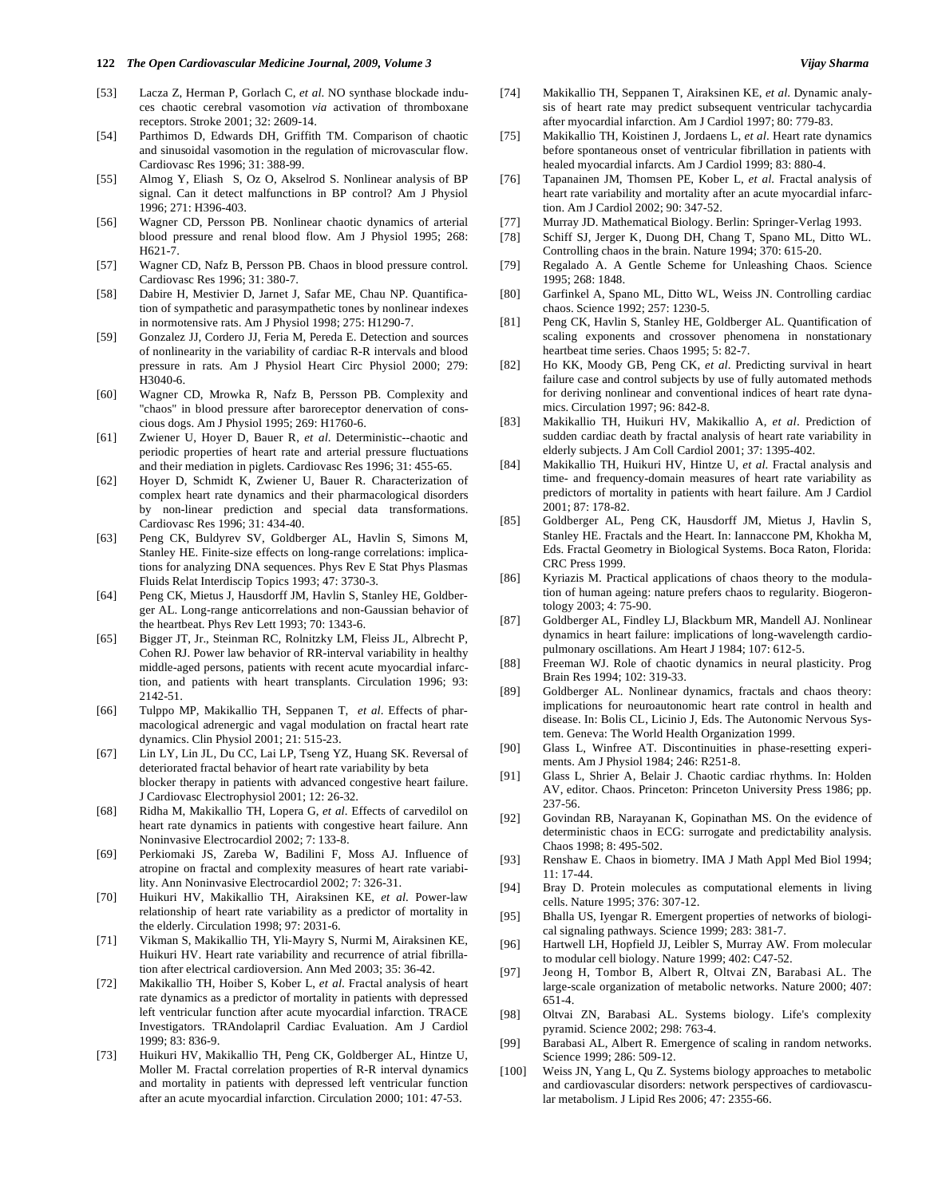- [53] Lacza Z, Herman P, Gorlach C, *et al*. NO synthase blockade induces chaotic cerebral vasomotion *via* activation of thromboxane receptors. Stroke 2001; 32: 2609-14.
- [54] Parthimos D, Edwards DH, Griffith TM. Comparison of chaotic and sinusoidal vasomotion in the regulation of microvascular flow. Cardiovasc Res 1996; 31: 388-99.
- [55] Almog Y, Eliash S, Oz O, Akselrod S. Nonlinear analysis of BP signal. Can it detect malfunctions in BP control? Am J Physiol 1996; 271: H396-403.
- [56] Wagner CD, Persson PB. Nonlinear chaotic dynamics of arterial blood pressure and renal blood flow. Am J Physiol 1995; 268: H621-7.
- [57] Wagner CD, Nafz B, Persson PB. Chaos in blood pressure control. Cardiovasc Res 1996; 31: 380-7.
- [58] Dabire H, Mestivier D, Jarnet J, Safar ME, Chau NP. Quantification of sympathetic and parasympathetic tones by nonlinear indexes in normotensive rats. Am J Physiol 1998; 275: H1290-7.
- [59] Gonzalez JJ, Cordero JJ, Feria M, Pereda E. Detection and sources of nonlinearity in the variability of cardiac R-R intervals and blood pressure in rats. Am J Physiol Heart Circ Physiol 2000; 279: H3040-6.
- [60] Wagner CD, Mrowka R, Nafz B, Persson PB. Complexity and "chaos" in blood pressure after baroreceptor denervation of conscious dogs. Am J Physiol 1995; 269: H1760-6.
- [61] Zwiener U, Hoyer D, Bauer R, *et al*. Deterministic--chaotic and periodic properties of heart rate and arterial pressure fluctuations and their mediation in piglets. Cardiovasc Res 1996; 31: 455-65.
- [62] Hoyer D, Schmidt K, Zwiener U, Bauer R. Characterization of complex heart rate dynamics and their pharmacological disorders by non-linear prediction and special data transformations. Cardiovasc Res 1996; 31: 434-40.
- [63] Peng CK, Buldyrev SV, Goldberger AL, Havlin S, Simons M, Stanley HE. Finite-size effects on long-range correlations: implications for analyzing DNA sequences. Phys Rev E Stat Phys Plasmas Fluids Relat Interdiscip Topics 1993; 47: 3730-3.
- [64] Peng CK, Mietus J, Hausdorff JM, Havlin S, Stanley HE, Goldberger AL. Long-range anticorrelations and non-Gaussian behavior of the heartbeat. Phys Rev Lett 1993; 70: 1343-6.
- [65] Bigger JT, Jr., Steinman RC, Rolnitzky LM, Fleiss JL, Albrecht P, Cohen RJ. Power law behavior of RR-interval variability in healthy middle-aged persons, patients with recent acute myocardial infarction, and patients with heart transplants. Circulation 1996; 93: 2142-51.
- [66] Tulppo MP, Makikallio TH, Seppanen T, *et al*. Effects of pharmacological adrenergic and vagal modulation on fractal heart rate dynamics. Clin Physiol 2001; 21: 515-23.
- [67] Lin LY, Lin JL, Du CC, Lai LP, Tseng YZ, Huang SK. Reversal of deteriorated fractal behavior of heart rate variability by beta blocker therapy in patients with advanced congestive heart failure. J Cardiovasc Electrophysiol 2001; 12: 26-32.
- [68] Ridha M, Makikallio TH, Lopera G, *et al*. Effects of carvedilol on heart rate dynamics in patients with congestive heart failure. Ann Noninvasive Electrocardiol 2002; 7: 133-8.
- [69] Perkiomaki JS, Zareba W, Badilini F, Moss AJ. Influence of atropine on fractal and complexity measures of heart rate variability. Ann Noninvasive Electrocardiol 2002; 7: 326-31.
- [70] Huikuri HV, Makikallio TH, Airaksinen KE, *et al*. Power-law relationship of heart rate variability as a predictor of mortality in the elderly. Circulation 1998; 97: 2031-6.
- [71] Vikman S, Makikallio TH, Yli-Mayry S, Nurmi M, Airaksinen KE, Huikuri HV. Heart rate variability and recurrence of atrial fibrillation after electrical cardioversion. Ann Med 2003; 35: 36-42.
- [72] Makikallio TH, Hoiber S, Kober L, *et al*. Fractal analysis of heart rate dynamics as a predictor of mortality in patients with depressed left ventricular function after acute myocardial infarction. TRACE Investigators. TRAndolapril Cardiac Evaluation. Am J Cardiol 1999; 83: 836-9.
- [73] Huikuri HV, Makikallio TH, Peng CK, Goldberger AL, Hintze U, Moller M. Fractal correlation properties of R-R interval dynamics and mortality in patients with depressed left ventricular function after an acute myocardial infarction. Circulation 2000; 101: 47-53.
- [74] Makikallio TH, Seppanen T, Airaksinen KE, *et al*. Dynamic analysis of heart rate may predict subsequent ventricular tachycardia after myocardial infarction. Am J Cardiol 1997; 80: 779-83.
- [75] Makikallio TH, Koistinen J, Jordaens L, *et al*. Heart rate dynamics before spontaneous onset of ventricular fibrillation in patients with healed myocardial infarcts. Am J Cardiol 1999; 83: 880-4.
- [76] Tapanainen JM, Thomsen PE, Kober L, *et al*. Fractal analysis of heart rate variability and mortality after an acute myocardial infarction. Am J Cardiol 2002; 90: 347-52.
- [77] Murray JD. Mathematical Biology. Berlin: Springer-Verlag 1993.
- [78] Schiff SJ, Jerger K, Duong DH, Chang T, Spano ML, Ditto WL. Controlling chaos in the brain. Nature 1994; 370: 615-20.
- [79] Regalado A. A Gentle Scheme for Unleashing Chaos. Science 1995; 268: 1848.
- [80] Garfinkel A, Spano ML, Ditto WL, Weiss JN. Controlling cardiac chaos. Science 1992; 257: 1230-5.
- [81] Peng CK, Havlin S, Stanley HE, Goldberger AL. Quantification of scaling exponents and crossover phenomena in nonstationary heartbeat time series. Chaos 1995; 5: 82-7.
- [82] Ho KK, Moody GB, Peng CK, *et al*. Predicting survival in heart failure case and control subjects by use of fully automated methods for deriving nonlinear and conventional indices of heart rate dynamics. Circulation 1997; 96: 842-8.
- [83] Makikallio TH, Huikuri HV, Makikallio A, *et al*. Prediction of sudden cardiac death by fractal analysis of heart rate variability in elderly subjects. J Am Coll Cardiol 2001; 37: 1395-402.
- [84] Makikallio TH, Huikuri HV, Hintze U, *et al*. Fractal analysis and time- and frequency-domain measures of heart rate variability as predictors of mortality in patients with heart failure. Am J Cardiol 2001; 87: 178-82.
- [85] Goldberger AL, Peng CK, Hausdorff JM, Mietus J, Havlin S, Stanley HE. Fractals and the Heart. In: Iannaccone PM, Khokha M, Eds. Fractal Geometry in Biological Systems. Boca Raton, Florida: CRC Press 1999.
- [86] Kyriazis M. Practical applications of chaos theory to the modulation of human ageing: nature prefers chaos to regularity. Biogerontology 2003; 4: 75-90.
- [87] Goldberger AL, Findley LJ, Blackburn MR, Mandell AJ. Nonlinear dynamics in heart failure: implications of long-wavelength cardiopulmonary oscillations. Am Heart J 1984; 107: 612-5.
- [88] Freeman WJ. Role of chaotic dynamics in neural plasticity. Prog Brain Res 1994; 102: 319-33.
- [89] Goldberger AL. Nonlinear dynamics, fractals and chaos theory: implications for neuroautonomic heart rate control in health and disease. In: Bolis CL, Licinio J, Eds. The Autonomic Nervous System. Geneva: The World Health Organization 1999.
- [90] Glass L, Winfree AT. Discontinuities in phase-resetting experiments. Am J Physiol 1984; 246: R251-8.
- [91] Glass L, Shrier A, Belair J. Chaotic cardiac rhythms. In: Holden AV, editor. Chaos. Princeton: Princeton University Press 1986; pp. 237-56.
- [92] Govindan RB, Narayanan K, Gopinathan MS. On the evidence of deterministic chaos in ECG: surrogate and predictability analysis. Chaos 1998; 8: 495-502.
- [93] Renshaw E. Chaos in biometry. IMA J Math Appl Med Biol 1994; 11: 17-44.
- [94] Bray D. Protein molecules as computational elements in living cells. Nature 1995; 376: 307-12.
- [95] Bhalla US, Iyengar R. Emergent properties of networks of biological signaling pathways. Science 1999; 283: 381-7.
- [96] Hartwell LH, Hopfield JJ, Leibler S, Murray AW. From molecular to modular cell biology. Nature 1999; 402: C47-52.
- [97] Jeong H, Tombor B, Albert R, Oltvai ZN, Barabasi AL. The large-scale organization of metabolic networks. Nature 2000; 407: 651-4.
- [98] Oltvai ZN, Barabasi AL. Systems biology. Life's complexity pyramid. Science 2002; 298: 763-4.
- [99] Barabasi AL, Albert R. Emergence of scaling in random networks. Science 1999; 286: 509-12.
- [100] Weiss JN, Yang L, Qu Z. Systems biology approaches to metabolic and cardiovascular disorders: network perspectives of cardiovascular metabolism. J Lipid Res 2006; 47: 2355-66.